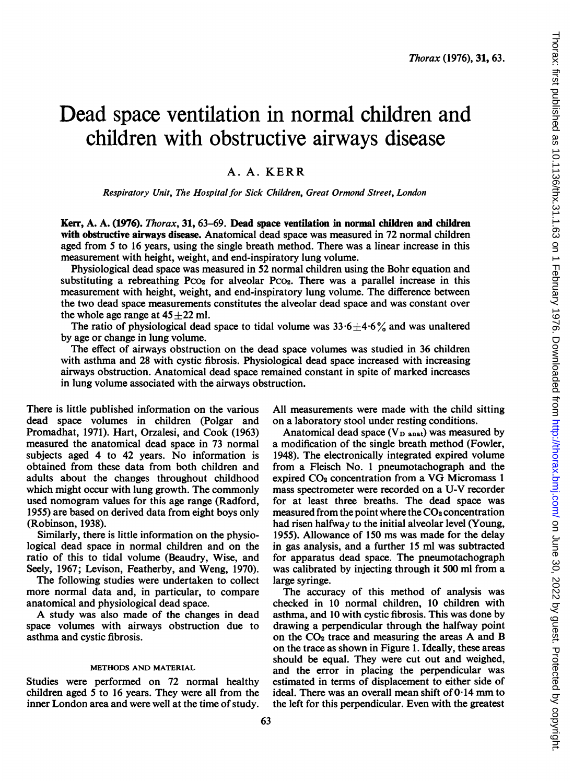# Dead space ventilation in normal children and children with obstructive airways disease

# A. A. KERR

Respiratory Unit, The Hospital for Sick Children, Great Ormond Street, London

Kerr, A. A. (1976). Thorax, 31, 63-69. Dead space ventilation in normal children and children with obstructive airways disease. Anatomical dead space was measured in 72 normal children aged from 5 to 16 years, using the single breath method. There was a linear increase in this measurement with height, weight, and end-inspiratory lung volume.

Physiological dead space was measured in 52 normal children using the Bohr equation and substituting a rebreathing  $PCO<sub>2</sub>$  for alveolar  $PCO<sub>2</sub>$ . There was a parallel increase in this measurement with height, weight, and end-inspiratory lung volume. The difference between the two dead space measurements constitutes the alveolar dead space and was constant over the whole age range at  $45 \pm 22$  ml.

The ratio of physiological dead space to tidal volume was  $33.6 \pm 4.6\%$  and was unaltered by age or change in lung volume.

The effect of airways obstruction on the dead space volumes was studied in 36 children with asthma and 28 with cystic fibrosis. Physiological dead space increased with increasing airways obstruction. Anatomical dead space remained constant in spite of marked increases in lung volume associated with the airways obstruction.

There is little published information on the various dead space volumes in children (Polgar and Promadhat, 1971). Hart, Orzalesi, and Cook (1963) measured the anatomical dead space in 73 normal subjects aged 4 to 42 years. No information is obtained from these data from both children and adults about the changes throughout childhood which might occur with lung growth. The commonly used nomogram values for this age range (Radford, 1955) are based on derived data from eight boys only (Robinson, 1938).

Similarly, there is little information on the physiological dead space in normal children and on the ratio of this to tidal volume (Beaudry, Wise, and Seely, 1967; Levison, Featherby, and Weng, 1970).

The following studies were undertaken to collect more normal data and, in particular, to compare anatomical and physiological dead space.

A study was also made of the changes in dead space volumes with airways obstruction due to asthma and cystic fibrosis.

### METHODS AND MATERIAL

Studies were performed on 72 normal healthy children aged 5 to 16 years. They were all from the inner London area and were well at the time of study.

All measurements were made with the child sitting on a laboratory stool under resting conditions.

Anatomical dead space ( $V<sub>D</sub>$  anat) was measured by a modification of the single breath method (Fowler, 1948). The electronically integrated expired volume from a Fleisch No. <sup>1</sup> pneumotachograph and the expired CO<sub>2</sub> concentration from a VG Micromass 1 mass spectrometer were recorded on a U-V recorder for at least three breaths. The dead space was measured from the point where the  $CO<sub>2</sub>$  concentration had risen halfway to the initial alveolar level (Young, 1955). Allowance of 150 ms was made for the delay in gas analysis, and a further 15 ml was subtracted for apparatus dead space. The pneumotachograph was calibrated by injecting through it 500 ml from a large syringe.

The accuracy of this method of analysis was checked in 10 normal children, 10 children with asthma, and 10 with cystic fibrosis. This was done by drawing a perpendicular through the halfway point on the C02 trace and measuring the areas A and B on the trace as shown in Figure 1. Ideally, these areas should be equal. They were cut out and weighed, and the error in placing the perpendicular was estimated in terms of displacement to either side of ideal. There was an overall mean shift of  $0.14$  mm to the left for this perpendicular. Even with the greatest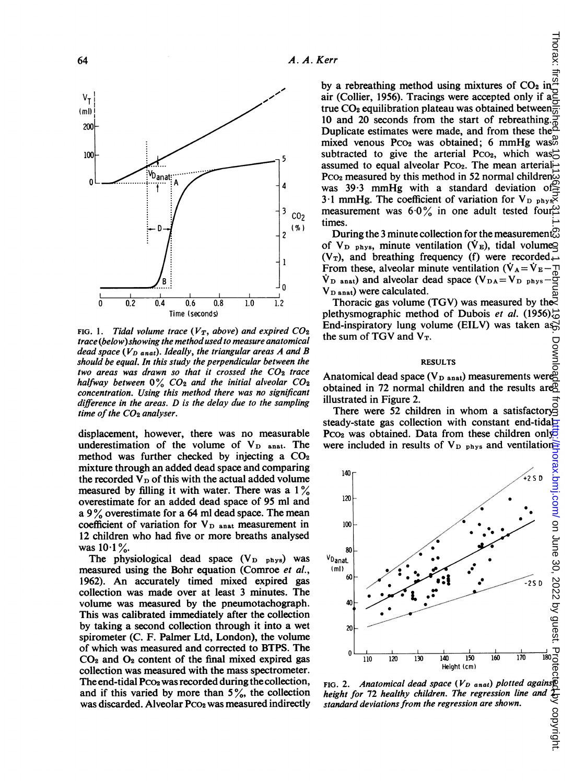

FIG. 1. Tidal volume trace ( $V_T$ , above) and expired  $CO_2$ trace (below) showing the method used to measure anatomical dead space ( $V_{D\ anat}$ ). Ideally, the triangular areas A and B should be equal. In this study the perpendicular between the two areas was drawn so that it crossed the  $CO<sub>2</sub>$  trace halfway between  $0\%$  CO<sub>2</sub> and the initial alveolar CO<sub>2</sub> concentration. Using this method there was no sig difference in the areas.  $D$  is the delay due to the sampling time of the  $CO<sub>2</sub>$  analyser.

displacement, however, there was no measurable underestimation of the volume of  $V_D$  anat. The method was further checked by injecting a  $CO<sub>2</sub>$ mixture through an added dead space and comparing the recorded  $V_D$  of this with the actual added volume measured by filling it with water. There was a  $1\%$ overestimate for an added dead space of 95 ml and a 9% overestimate for a 64 ml dead space. The mean coefficient of variation for  $V_{\text{D} \text{ant}}$  measurement in 12 children who had five or more breaths analysed was  $10 \cdot 1$ %.

The physiological dead space  $(V_{D}$   $_{phys})$  was measured using the Bohr equation (Comroe *et al.*, 1962). An accurately timed mixed expired gas collection was made over at least 3 minute s. The volume was measured by the pneumotachograph. This was calibrated immediately after the collection by taking a second collection through it into a wet spirometer (C. F. Palmer Ltd, London), the volume of which was measured and corrected to BTPS. The  $CO<sub>2</sub>$  and  $O<sub>2</sub>$  content of the final mixed expired gas collection was measured with the mass spectrometer. The end-tidal  $P_{CO_2}$  was recorded during the collection, and if this varied by more than  $5\%$ , the collection was discarded. Alveolar Pco<sub>2</sub> was measured indirectly

by a rebreathing method using mixtures of  $CO<sub>2</sub>$  in air (Collier, 1956). Tracings were accepted only if a true CO<sub>2</sub> equilibration plateau was obtained between $\frac{2}{\omega}$ 10 and 20 seconds from the start of rebreathing. Duplicate estimates were made, and from these the mixed venous  $PCO<sub>2</sub>$  was obtained; 6 mmHg was $\ddot{\phi}$ subtracted to give the arterial Pco<sub>2</sub>, which was assumed to equal alveolar Pco<sub>2</sub>. The mean arterial-Pco<sub>2</sub> measured by this method in 52 normal children $\overline{\omega}$ was 39.3 mmHg with a standard deviation of  $\leq$ 3.1 mmHg. The coefficient of variation for  $V_{\text{D} \text{phys}}$  $\cos$  measurement was 6.0% in one adult tested four times.

 $\overline{z}$  different collection for the measurement  $\overline{z}$ of  $V_D$  phys, minute ventilation ( $\dot{V}_E$ ), tidal volume $\Omega$  $(V_T)$ , and breathing frequency (f) were recorded. From these, alveolar minute ventilation  $(\dot{V}_A = \dot{V}_E - \pi)$  $\dot{V}_{\text{D} \text{ anat}}$ ) and alveolar dead space (V<sub>DA</sub>=V<sub>D</sub> <sub>phys</sub>-V<sub>D</sub> <sub>anat</sub>) were calculated.  $V_{\text{D anat}}$ ) were calculated.

<sup>2</sup> Thoracic gas volume (TGV) was measured by the plethysmographic method of Dubois et al. (1956) $\frac{1}{60}$ End-inspiratory lung volume (EILV) was taken assumed the sum of TGV and  $V_T$ .  $\frac{du}{dt}$  the sum of TGV and  $V_T$ .

#### veen the RESULTS

<sup>2</sup> *Irace* Anatomical dead space (V<sub>D anat</sub>) measurements were obtained in 72 normal children and the results are $\beta$ illustrated in Figure 2.

There were 52 children in whom a satisfactory steady-state gas collection with constant end-tidal-Pco<sub>2</sub> was obtained. Data from these children only<br>were included in results of V<sub>D</sub> <sub>phys</sub> and ventilation. t. The were included in results of  $V_{\text{D} \text{phys}}$  and ventilation-



FIG. 2. Anatomical dead space ( $V_D$  anat) plotted agains  $\mathbb{R}$ height for 72 healthy children. The regression line and 2 standard deviations from the regression are shown.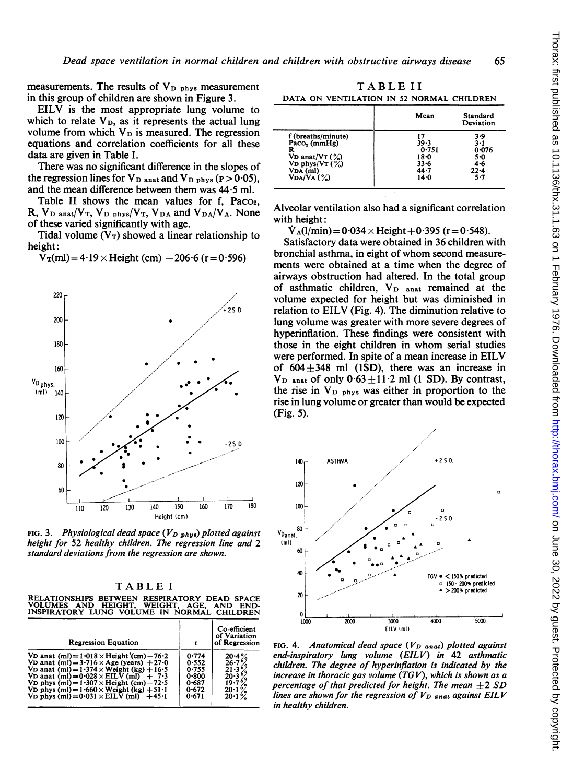measurements. The results of  $V_{D,phys}$  measurement in this group of children are shown in Figure 3.

EILV is the most appropriate lung volume to which to relate  $V_D$ , as it represents the actual lung volume from which  $V_D$  is measured. The regression equations and correlation coefficients for all these data are given in Table I.

There was no significant difference in the slopes of the regression lines for  $V_{\text{D} \text{ anat}}$  and  $V_{\text{D} \text{ phys}}$  (P  $>$  0.05), and the mean difference between them was  $44.5$  ml.

Table II shows the mean values for f, Paco R,  $V_D$  anat/ $V_T$ ,  $V_D$  phys/ $V_T$ ,  $V_D$  and  $V_D$ <sub>A</sub>/ $V_A$ . None of these varied significantly with age.

Tidal volume  $(V_T)$  showed a linear relationship to height:

 $V_T(ml) = 4.19 \times$  Height (cm)  $-206.6$  (r = 0.596)



FIG. 3. Physiological dead space  $(V_{D\;phys})$  plotted against height for 52 healthy children. The regression line and 2 standard deviations from the regression are shown.

| TABLEI                                                                                                                                  |  |  |  |  |  |  |  |  |  |
|-----------------------------------------------------------------------------------------------------------------------------------------|--|--|--|--|--|--|--|--|--|
| RELATIONSHIPS BETWEEN RESPIRATORY DEAD SPACE<br>VOLUMES AND HEIGHT. WEIGHT. AGE. AND END-<br>INSPIRATORY LUNG VOLUME IN NORMAL CHILDREN |  |  |  |  |  |  |  |  |  |

| <b>Regression Equation</b>                                    | r         | Co-efficient<br>of Variation<br>of Regression |
|---------------------------------------------------------------|-----------|-----------------------------------------------|
| VD anat (ml) = $1.018 \times$ Height '(cm) - 76.2             | 0.774     | 20.4%                                         |
| VD anat $(m1) = 3.716 \times Age$ (years) + 27.0              | 0.552     | 26.7%                                         |
| VD anat (ml) = $1.374 \times$ Weight (kg) + 16.5              | 0.755     | 21.3%                                         |
| VD anat (ml) = $0.028 \times$ EILV (ml) + 7.3                 | 0.800     | 20.3%                                         |
| VD phys $(ml) = 1.307 \times$ Height $(cm) - 72.5$            | 0.687     | 19.7%                                         |
| VD phys $(m1) = 1.660 \times$ Weight $(kg) + 51.1$            | 0.672     | 20.1%                                         |
| VD phys $\text{ (ml)} = 0.031 \times \text{EILV (ml)} + 45.1$ | $0 - 671$ | 20.1%                                         |

TABLE II

DATA ON VENTILATION IN <sup>52</sup> NORMAL CHILDREN

|                    | Mean     | Standard<br>Deviation |
|--------------------|----------|-----------------------|
| f (breaths/minute) | 17       | 3.9                   |
| Paco, (mmHg)       | $39 - 3$ | $3 - 1$               |
| R                  | 0.751    | 0.076                 |
| VD anat/ $VT$ (%)  | $18 - 0$ | 5.0                   |
| VD phys/VT $(\%)$  | $33 - 6$ | 4.6                   |
| $VDA$ (ml)         | $44 - 7$ | $22 - 4$              |
| VDA/VA(%)          | $14 - 0$ | $5 - 7$               |

Alveolar ventilation also had a significant correlation<br>with height:<br> $\dot{V}_{A}(l/min) = 0.034 \times Height + 0.395$  (r=0.548).

Satisfactory data were obtained in 36 children with bronchial asthma, in eight of whom second measurements were obtained at a time when the degree of airways obstruction had altered. In the total group of asthmatic children,  $V_D$  anat remained at the volume expected for height but was diminished in  $250$  relation to EILV (Fig. 4). The diminution relative to lung volume was greater with more severe degrees of hyperinflation. These findings were consistent with those in the eight children in whom serial studies were performed. In spite of a mean increase in EILV of  $604 \pm 348$  ml (1SD), there was an increase in  $V_D$  anat of only  $0.63 \pm 11.2$  ml (1 SD). By contrast, the rise in  $V_{\text{D} \text{phys}}$  was either in proportion to the rise in lung volume or greater than would be expected (Fig. 5).



FIG. 4. Anatomical dead space  $(V_D$  anat) plotted against end-inspiratory lung volume (EILV) in 42 asthmatic children. The degree of hyperinflation is indicated by the increase in thoracic gas volume (TGV), which is shown as a percentage of that predicted for height. The mean  $+2$  SD lines are shown for the regression of  $V_D$  anat against EILV in healthy children.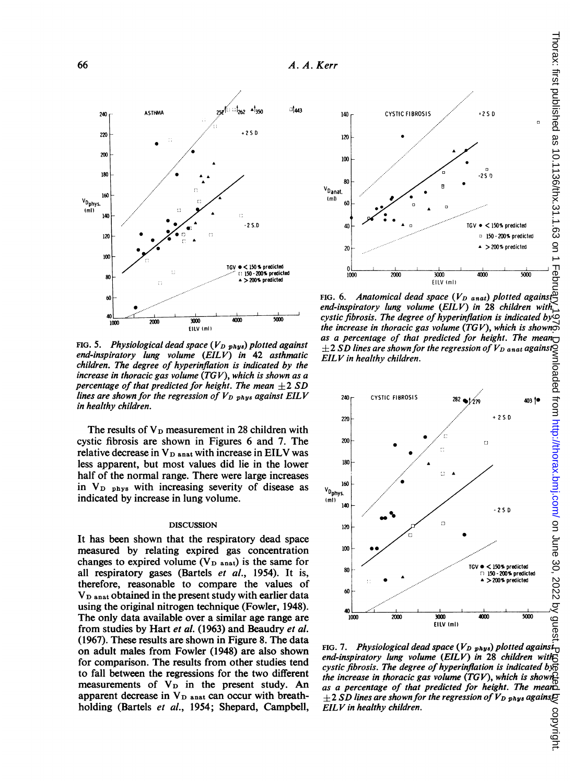

FIG. 5. Physiological dead space ( $V_{D\;phys}$ ) plotted against end-inspiratory lung volume (EILV) in 42 asthmatic children. The degree of hyperinflation is indicated by the increase in thoracic gas volume (TGV), which is shown as a percentage of that predicted for height. The mean  $\pm 2$  SD lines are shown for the regression of  $V_{D}$   $_{phys}$  against EILV in healthy children.

The results of  $V_D$  measurement in 28 children with cystic fibrosis are shown in Figures 6 and 7. The relative decrease in  $V_{D}$  anat with increase in EILV was less apparent, but most values did lie in the lower half of the normal range. There were large increases in  $V_{\text{D} \text{phys}}$  with increasing severity of disease as indicated by increase in lung volume.

#### DISCUSSION

It has been shown that the respiratory dead space measured by relating expired gas concentration changes to expired volume ( $V<sub>D</sub>$  anat) is the same for all respiratory gases (Bartels et al., 1954). It is, therefore, reasonable to compare the values of V<sub>D</sub> anat obtained in the present study with earlier data using the original nitrogen technique (Fowler, 1948). The only data available over a similar age range are from studies by Hart et al. (1963) and Beaudry et al. (1967). These results are shown in Figure 8. The data on adult males from Fowler (1948) are also shown for comparison. The results from other studies tend to fall between the regressions for the two different measurements of  $V_D$  in the present study. An apparent decrease in  $V_D$  anat can occur with breathholding (Bartels et al., 1954; Shepard, Campbell,



FIG. 6. Anatomical dead space  $(V_{D \text{ and }})$  plotted against: end-inspiratory lung volume (EILV) in 28 children with cystic fibrosis. The degree of hyperinflation is indicated by the increase in thoracic gas volume (TGV), which is shown as a percentage of that predicted for height. The mean  $\pm 2$  SD lines are shown for the regression of  $V_{D}$  anat against $\S$ EILV in healthy children.



FIG. 7. Physiological dead space ( $V_{D\;phys}$ ) plotted agains $t_1$ end-inspiratory lung volume (EILV) in 28 children with cystic fibrosis. The degree of hyperinflation is indicated by  $\vec{b}$ the increase in thoracic gas volume (TGV), which is shown as a percentage of that predicted for height. The mean  $\pm 2$  SD lines are shown for the regression of  $V_{D}$  <sub>phys</sub> agains $E$ EILV in healthy children.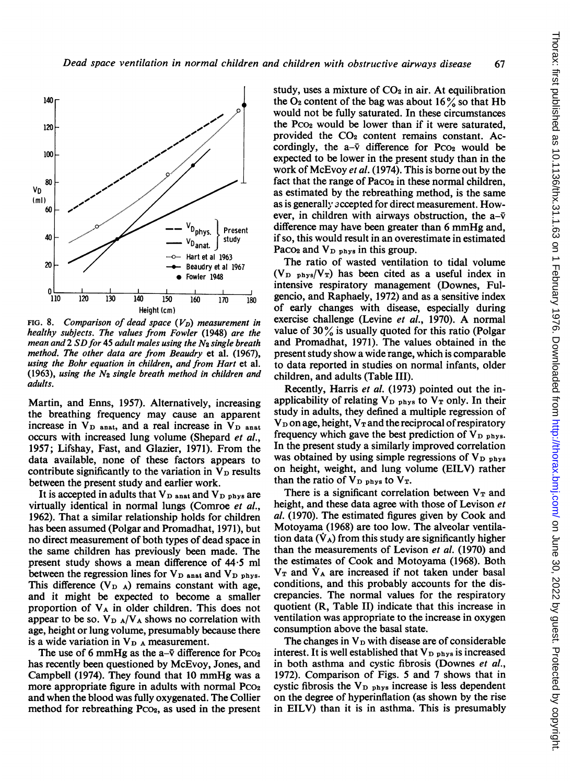

FIG. 8. Comparison of dead space  $(V_D)$  measurement in healthy subjects. The values from Fowler (1948) are the mean and  $2$  SD for 45 adult males using the  $N_2$  single breath method. The other data are from Beaudry et al. (1967), using the Bohr equation in children, and from Hart et al. (1963), using the  $N_2$  single breath method in children and adults.

Martin, and Enns, 1957). Alternatively, increasing the breathing frequency may cause an apparent increase in  $V_{\text{D} \text{anat}}$ , and a real increase in  $V_{\text{D} \text{anat}}$ occurs with increased lung volume (Shepard et al., 1957; Lifshay, Fast, and Glazier, 1971). From the data available, none of these factors appears to contribute significantly to the variation in  $V_D$  results between the present study and earlier work.

It is accepted in adults that  $V_D$  anat and  $V_D$  phys are virtually identical in normal lungs (Comroe et al., 1962). That a similar relationship holds for children has been assumed (Polgar and Promadhat, 1971), but no direct measurement of both types of dead space in the same children has previously been made. The present study shows a mean difference of 44\*5 ml between the regression lines for  $V_{\text{D anat}}$  and  $V_{\text{D phys}}$ . This difference  $(V_{D-A})$  remains constant with age, and it might be expected to become a smaller proportion of  $V_A$  in older children. This does not appear to be so.  $V_{D A}/V_{A}$  shows no correlation with age, height or lung volume, presumably because there is a wide variation in  $V_{\text{D A}}$  measurement.

The use of 6 mmHg as the  $a-\bar{v}$  difference for Pco<sub>2</sub> has recently been questioned by McEvoy, Jones, and Campbell (1974). They found that <sup>10</sup> mmHg was <sup>a</sup> more appropriate figure in adults with normal  $P_{CO_2}$ and when the blood was fully oxygenated. The Collier method for rebreathing  $P_{CO_2}$ , as used in the present study, uses a mixture of  $CO<sub>2</sub>$  in air. At equilibration the  $O_2$  content of the bag was about 16% so that Hb would not be fully saturated. In these circumstances the Pco<sub>2</sub> would be lower than if it were saturated, provided the  $CO<sub>2</sub>$  content remains constant. Accordingly, the  $a-\bar{v}$  difference for Pco<sub>2</sub> would be expected to be lower in the present study than in the work of McEvoy et al. (1974). This is borne out by the fact that the range of  $Paco<sub>2</sub>$  in these normal children, as estimated by the rebreathing method, is the same as is generally accepted for direct measurement. However, in children with airways obstruction, the  $a-\bar{v}$ difference may have been greater than <sup>6</sup> mmHg and, if so, this would result in an overestimate in estimated Paco<sub>2</sub> and  $V_{\text{D phys}}$  in this group.

The ratio of wasted ventilation to tidal volume  $(V_D_{\text{phys}}/V_T)$  has been cited as a useful index in intensive respiratory management (Downes, Fulgencio, and Raphaely, 1972) and as a sensitive index of early changes with disease, especially during exercise challenge (Levine et al., 1970). A normal value of  $30\%$  is usually quoted for this ratio (Polgar and Promadhat, 1971). The values obtained in the present study show a wide range, which is comparable to data reported in studies on normal infants, older children, and adults (Table III).

Recently, Harris et al. (1973) pointed out the inapplicability of relating  $V_D$  phys to  $V_T$  only. In their study in adults, they defined a multiple regression of  $V_D$  on age, height,  $V_T$  and the reciprocal of respiratory frequency which gave the best prediction of  $V_{D.phys.}$ In the present study a similarly improved correlation was obtained by using simple regressions of  $V_{\text{D} \text{phys}}$ on height, weight, and lung volume (EILV) rather than the ratio of  $V_{\text{D} \text{phys}}$  to  $V_{\text{T}}$ .

There is a significant correlation between  $V_T$  and height, and these data agree with those of Levison et al. (1970). The estimated figures given by Cook and Motoyama (1968) are too low. The alveolar ventilation data  $(\dot{V}_A)$  from this study are significantly higher than the measurements of Levison et al. (1970) and the estimates of Cook and Motoyama (1968). Both  $V_T$  and  $V_A$  are increased if not taken under basal conditions, and this probably accounts for the discrepancies. The normal values for the respiratory quotient (R, Table II) indicate that this increase in ventilation was appropriate to the increase in oxygen consumption above the basal state.

The changes in  $V_D$  with disease are of considerable interest. It is well established that  $V_{\text{D} \text{ phys}}$  is increased in both asthma and cystic fibrosis (Downes et al., 1972). Comparison of Figs. 5 and 7 shows that in cystic fibrosis the  $V_{\text{D} \text{phys}}$  increase is less dependent on the degree of hyperinflation (as shown by the rise in EILV) than it is in asthma. This is presumably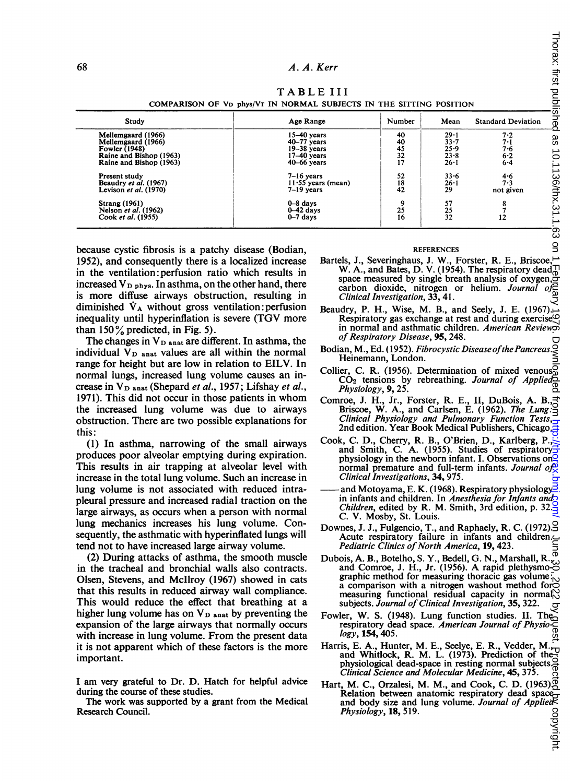# A. A. Kerr

## TABLE III

COMPARISON OF VD PhYs/VT IN NORMAL SUBJECTS IN THE SITTING POSITION

| Study                   | Age Range            | Number   | Mean     | <b>Standard Deviation</b> |
|-------------------------|----------------------|----------|----------|---------------------------|
| Mellemgaard (1966)      | $15-40$ years        | 40       | $29 - 1$ | 7.2                       |
| Mellemgaard (1966)      | $40-77$ years        | 40       | $33 - 7$ | 7.1                       |
| <b>Fowler (1948)</b>    | $19-38$ years        | 45       | 25.9     | 7·6                       |
| Raine and Bishop (1963) | $17-40$ years        | 32       | $23 - 8$ | 6.2                       |
| Raine and Bishop (1963) | $40 - 66$ years      | 17       | $26 - 1$ | $6 - 4$                   |
| Present study           | $7-16$ vears         | 52       | $33 - 6$ | 4.6                       |
| Beaudry et al. (1967)   | $11.55$ years (mean) | 18       | 26-1     | 7.3                       |
| Levison et al. $(1970)$ | $7-19$ years         | 42       | 29       | not given                 |
| <b>Strang (1961)</b>    | $0 - 8$ days         | $\Omega$ | 57       |                           |
| Nelson et al. (1962)    | $0-42$ days          | 25       | 25       |                           |
| Cook et al. (1955)      | $0-7$ days           | 16       | 32       | 12                        |

because cystic fibrosis is a patchy disease (Bodian, 1952), and consequently there is a localized increase in the ventilation:perfusion ratio which results in increased  $V_{\text{D} \text{phys}}$ . In asthma, on the other hand, there is more diffuse airways obstruction, resulting in diminished  $\dot{V}_A$  without gross ventilation: perfusion inequality until hyperinflation is severe (TGV more than  $150\%$  predicted, in Fig. 5).

The changes in  $V_{\text{D anat}}$  are different. In asthma, the individual  $V_D$  anat values are all within the normal range for height but are low in relation to EILV. In normal lungs, increased lung volume causes an increase in  $V_D$  anat (Shepard et al., 1957; Lifshay et al., 1971). This did not occur in those patients in whom the increased lung volume was due to airways obstruction. There are two possible explanations for this:

(1) In asthma, narrowing of the small airways produces poor alveolar emptying during expiration. This results in air trapping at alveolar level with increase in the total lung volume. Such an increase in lung volume is not associated with reduced intrapleural pressure and increased radial traction on the large airways, as occurs when a person with normal lung mechanics increases his lung volume. Consequently, the asthmatic with hyperinflated lungs will tend not to have increased large airway volume.

(2) During attacks of asthma, the smooth muscle in the tracheal and bronchial walls also contracts. Olsen, Stevens, and McIlroy (1967) showed in cats that this results in reduced airway wall compliance. This would reduce the effect that breathing at a higher lung volume has on  $V_{\text{D anat}}$  by preventing the expansion of the large airways that normally occurs with increase in lung volume. From the present data it is not apparent which of these factors is the more important.

<sup>I</sup> am very grateful to Dr. D. Hatch for helpful advice during the course of these studies.

The work was supported by a grant from the Medical Research Council.

#### REFERENCES

- Bartels, J., Severinghaus, J. W., Forster, R. E., Briscoe, W. A., and Bates, D. V. (1954). The respiratory dead $\Box$ space measured by single breath analysis of oxygen, $\overline{S}$ carbon dioxide, nitrogen or helium. Journal of<br>Clinical Investigation, 33, 41. Clinical Investigation, 33, 41.
- Beaudry, P. H., Wise, M. B., and Seely, J. E. (1967). Respiratory gas exchange at rest and during exercise in normal and asthmatic children. American Revieword of Respiratory Disease, 95, 248.
- Bodian, M., Ed. (1952). Fibrocystic Disease of the Pancreas Heinemann, London.
- Collier, C. R. (1956). Determination of mixed venous<br>CO<sub>2</sub> tensions by rebreathing. Journal of Applied<br>Physiology, 9, 25.
- Comroe, J. H., Jr., Forster, R. E., II, DuBois, A. B., Briscoe, W. A., and Carlsen, E. (1962). The Lung: Clinical Physiology and Pulmonary Function Tests, 2nd edition. Year Book Medical Publishers, Chicago.
- Cook, C. D., Cherry, R. B., O'Brien, D., Karlberg, P., and Smith, C. A. (1955). Studies of respiratory physiology in the newborn infant. I. Observations on normal premature and full-term infants. Journal of  $\Theta$ Clinical Investigations, 34, 975.
- and Motoyama, E. K. (1968). Respiratory physiology in infants and children. In Anesthesia for Infants and *Children*, edited by R. M. Smith, 3rd edition, p. 32. C. V. Mosby, St. Louis.
- Downes, J. J., Fulgencio, T., and Raphaely, R. C. (1972). Acute respiratory failure in infants and children. Pediatric Clinics of North America, 19, 423.
- Dubois, A. B., Botelho, S. Y., Bedell, G. N., Marshall, R., and Comroe, J. H., Jr. (1956). A rapid plethysmographic method for measuring thoracic gas volume  $\sim$ a comparison with a nitrogen washout method for measuring functional residual capacity in normal subjects. Journal of Clinical Investigation, 35, 322.
- Fowler, W. S. (1948). Lung function studies. II. The respiratory dead space. American Journal of Physiology, **154**, 405.
- Harris, E. A., Hunter, M. E., Seelye, E. R., Vedder, M., ris, E. A., Hunter, M. E., Seelye, E. R., Vedder, M. and winner<br>physiological dead-space in resting normal subjects.<br>Clinical Science and Molecular Medicine, 45, 375. Clinical Science and Molecular Medicine, 45, 375.
- Hart, M. C., Orzalesi, M. M., and Cook, C. D. (1963). Relation between anatomic respiratory dead space<br>and body size and lung volume. Journal of Applied Physiology, 18, 519.